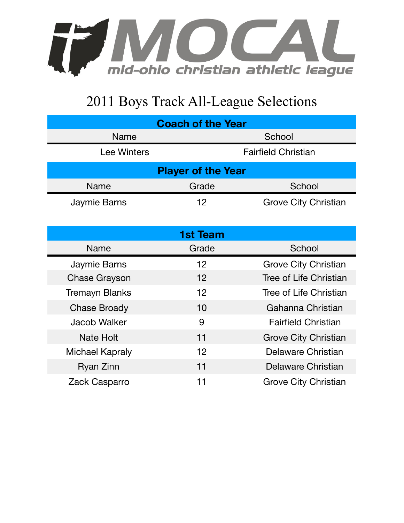

## 2011 Boys Track All-League Selections

| <b>Coach of the Year</b>  |                            |                               |  |  |
|---------------------------|----------------------------|-------------------------------|--|--|
| <b>Name</b>               | School                     |                               |  |  |
| <b>Lee Winters</b>        | <b>Fairfield Christian</b> |                               |  |  |
| <b>Player of the Year</b> |                            |                               |  |  |
| Name                      | Grade                      | School                        |  |  |
| Jaymie Barns              | 12                         | <b>Grove City Christian</b>   |  |  |
|                           |                            |                               |  |  |
| <b>1st Team</b>           |                            |                               |  |  |
| Name                      | Grade                      | School                        |  |  |
| Jaymie Barns              | 12                         | <b>Grove City Christian</b>   |  |  |
| <b>Chase Grayson</b>      | 12                         | <b>Tree of Life Christian</b> |  |  |
| <b>Tremayn Blanks</b>     | 12                         | Tree of Life Christian        |  |  |
| <b>Chase Broady</b>       | 10                         | Gahanna Christian             |  |  |
| <b>Jacob Walker</b>       | 9                          | <b>Fairfield Christian</b>    |  |  |
| <b>Nate Holt</b>          | 11                         | <b>Grove City Christian</b>   |  |  |
| <b>Michael Kapraly</b>    | 12                         | Delaware Christian            |  |  |
| Ryan Zinn                 | 11                         | Delaware Christian            |  |  |
| Zack Casparro             | 11                         | Grove City Christian          |  |  |